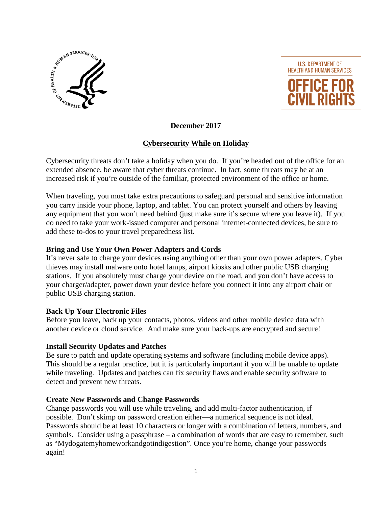



**December 2017**

# **Cybersecurity While on Holiday**

Cybersecurity threats don't take a holiday when you do. If you're headed out of the office for an extended absence, be aware that cyber threats continue. In fact, some threats may be at an increased risk if you're outside of the familiar, protected environment of the office or home.

When traveling, you must take extra precautions to safeguard personal and sensitive information you carry inside your phone, laptop, and tablet. You can protect yourself and others by leaving any equipment that you won't need behind (just make sure it's secure where you leave it). If you do need to take your work-issued computer and personal internet-connected devices, be sure to add these to-dos to your travel preparedness list.

## **Bring and Use Your Own Power Adapters and Cords**

It's never safe to charge your devices using anything other than your own power adapters. Cyber thieves may install malware onto hotel lamps, airport kiosks and other public USB charging stations. If you absolutely must charge your device on the road, and you don't have access to your charger/adapter, power down your device before you connect it into any airport chair or public USB charging station.

### **Back Up Your Electronic Files**

Before you leave, back up your contacts, photos, videos and other mobile device data with another device or cloud service. And make sure your back-ups are encrypted and secure!

### **Install Security Updates and Patches**

Be sure to patch and update operating systems and software (including mobile device apps). This should be a regular practice, but it is particularly important if you will be unable to update while traveling. Updates and patches can fix security flaws and enable security software to detect and prevent new threats.

### **Create New Passwords and Change Passwords**

Change passwords you will use while traveling, and add multi-factor authentication, if possible. Don't skimp on password creation either—a numerical sequence is not ideal. Passwords should be at least 10 characters or longer with a combination of letters, numbers, and symbols. Consider using a passphrase – a combination of words that are easy to remember, such as "Mydogatemyhomeworkandgotindigestion". Once you're home, change your passwords again!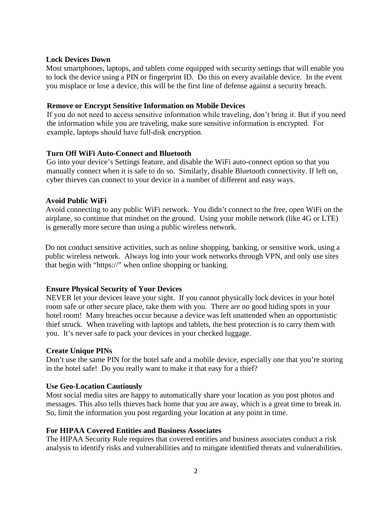#### **Lock Devices Down**

Most smartphones, laptops, and tablets come equipped with security settings that will enable you to lock the device using a PIN or fingerprint ID. Do this on every available device. In the event you misplace or lose a device, this will be the first line of defense against a security breach.

### **Remove or Encrypt Sensitive Information on Mobile Devices**

If you do not need to access sensitive information while traveling, don't bring it. But if you need the information while you are traveling, make sure sensitive information is encrypted. For example, laptops should have full-disk encryption.

### **Turn Off WiFi Auto-Connect and Bluetooth**

Go into your device's Settings feature, and disable the WiFi auto-connect option so that you manually connect when it is safe to do so. Similarly, disable Bluetooth connectivity. If left on, cyber thieves can connect to your device in a number of different and easy ways.

## **Avoid Public WiFi**

Avoid connecting to any public WiFi network. You didn't connect to the free, open WiFi on the airplane, so continue that mindset on the ground. Using your mobile network (like 4G or LTE) is generally more secure than using a public wireless network.

Do not conduct sensitive activities, such as online shopping, banking, or sensitive work, using a public wireless network. Always log into your work networks through VPN, and only use sites that begin with "https://" when online shopping or banking.

### **Ensure Physical Security of Your Devices**

NEVER let your devices leave your sight. If you cannot physically lock devices in your hotel room safe or other secure place, take them with you. There are no good hiding spots in your hotel room! Many breaches occur because a device was left unattended when an opportunistic thief struck. When traveling with laptops and tablets, the best protection is to carry them with you. It's never safe to pack your devices in your checked luggage.

### **Create Unique PINs**

Don't use the same PIN for the hotel safe and a mobile device, especially one that you're storing in the hotel safe! Do you really want to make it that easy for a thief?

### **Use Geo-Location Cautiously**

Most social media sites are happy to automatically share your location as you post photos and messages. This also tells thieves back home that you are away, which is a great time to break in. So, limit the information you post regarding your location at any point in time.

### **For HIPAA Covered Entities and Business Associates**

The HIPAA Security Rule requires that covered entities and business associates conduct a risk analysis to identify risks and vulnerabilities and to mitigate identified threats and vulnerabilities.